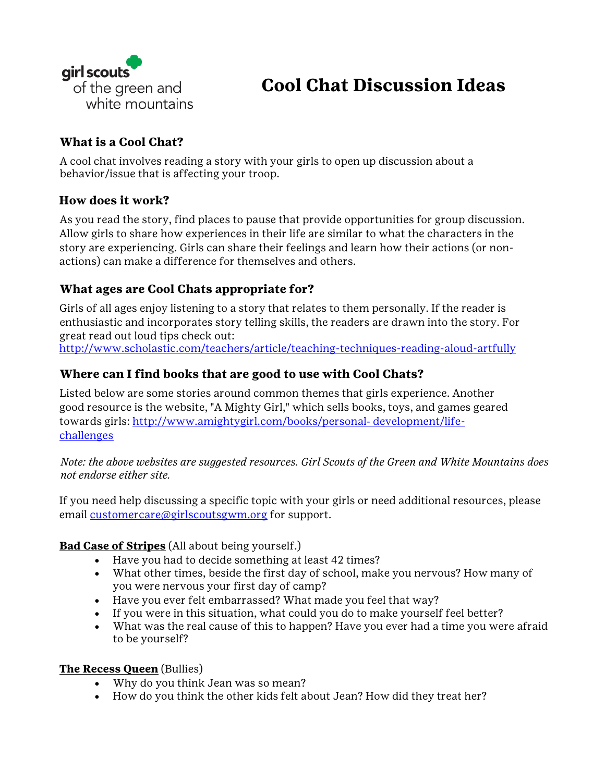

# **Cool Chat Discussion Ideas**

## **What is a Cool Chat?**

A cool chat involves reading a story with your girls to open up discussion about a behavior/issue that is affecting your troop.

### **How does it work?**

As you read the story, find places to pause that provide opportunities for group discussion. Allow girls to share how experiences in their life are similar to what the characters in the story are experiencing. Girls can share their feelings and learn how their actions (or nonactions) can make a difference for themselves and others.

# **What ages are Cool Chats appropriate for?**

Girls of all ages enjoy listening to a story that relates to them personally. If the reader is enthusiastic and incorporates story telling skills, the readers are drawn into the story. For great read out loud tips check out:

<http://www.scholastic.com/teachers/article/teaching-techniques-reading-aloud-artfully>

## **Where can I find books that are good to use with Cool Chats?**

Listed below are some stories around common themes that girls experience. Another good resource is the website, "A Mighty Girl," which sells books, toys, and games geared towards girls: [http://www.amightygirl.com/books/personal](http://www.amightygirl.com/books/personal-development/life-challenges)-[development/life](http://www.amightygirl.com/books/personal-development/life-challenges)[challenges](http://www.amightygirl.com/books/personal-development/life-challenges)

*Note: the above websites are suggested resources. Girl Scouts of the Green and White Mountains does not endorse either site.*

If you need help discussing a specific topic with your girls or need additional resources, please email [customercare@girlscoutsgwm.org](mailto:customercare@girlscoutsgwm.org) for support.

#### **Bad Case of Stripes** (All about being yourself.)

- Have you had to decide something at least 42 times?
- What other times, beside the first day of school, make you nervous? How many of you were nervous your first day of camp?
- Have you ever felt embarrassed? What made you feel that way?
- If you were in this situation, what could you do to make yourself feel better?
- What was the real cause of this to happen? Have you ever had a time you were afraid to be yourself?

#### **The Recess Queen** (Bullies)

- Why do you think Jean was so mean?
- How do you think the other kids felt about Jean? How did they treat her?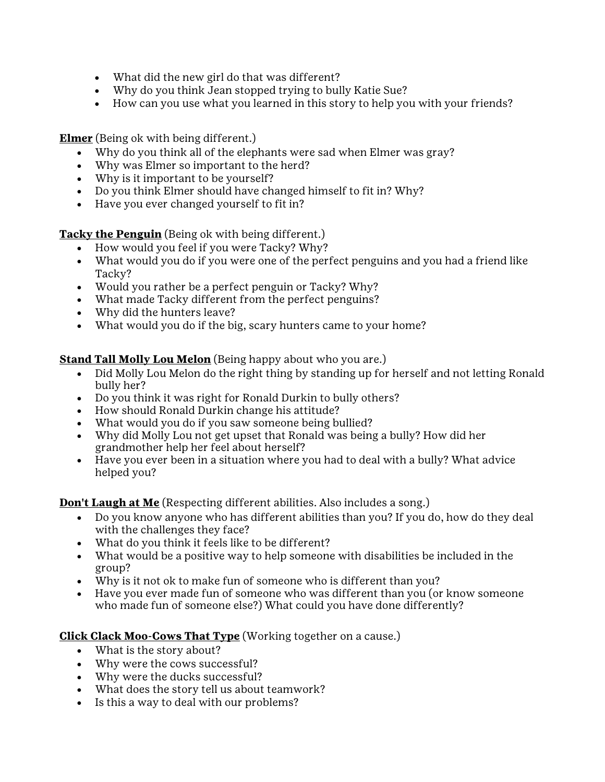- What did the new girl do that was different?
- Why do you think Jean stopped trying to bully Katie Sue?
- How can you use what you learned in this story to help you with your friends?

**Elmer** (Being ok with being different.)

- Why do you think all of the elephants were sad when Elmer was gray?
- Why was Elmer so important to the herd?
- Why is it important to be yourself?
- Do you think Elmer should have changed himself to fit in? Why?<br>• Have you ever changed yourself to fit in?
- Have you ever changed yourself to fit in?

**Tacky the Penguin** (Being ok with being different.)

- How would you feel if you were Tacky? Why?
- What would you do if you were one of the perfect penguins and you had a friend like Tacky?
- Would you rather be a perfect penguin or Tacky? Why?
- What made Tacky different from the perfect penguins?
- Why did the hunters leave?
- What would you do if the big, scary hunters came to your home?

#### **Stand Tall Molly Lou Melon** (Being happy about who you are.)

- Did Molly Lou Melon do the right thing by standing up for herself and not letting Ronald bully her?
- Do you think it was right for Ronald Durkin to bully others?
- How should Ronald Durkin change his attitude?
- What would you do if you saw someone being bullied?
- Why did Molly Lou not get upset that Ronald was being a bully? How did her grandmother help her feel about herself?
- Have you ever been in a situation where you had to deal with a bully? What advice helped you?

**Don't Laugh at Me** (Respecting different abilities. Also includes a song.)

- Do you know anyone who has different abilities than you? If you do, how do they deal with the challenges they face?
- What do you think it feels like to be different?
- What would be a positive way to help someone with disabilities be included in the group?
- Why is it not ok to make fun of someone who is different than you?
- Have you ever made fun of someone who was different than you (or know someone who made fun of someone else?) What could you have done differently?

#### **Click Clack Moo-Cows That Type** (Working together on a cause.)

- What is the story about?
- Why were the cows successful?
- Why were the ducks successful?
- What does the story tell us about teamwork?
- Is this a way to deal with our problems?